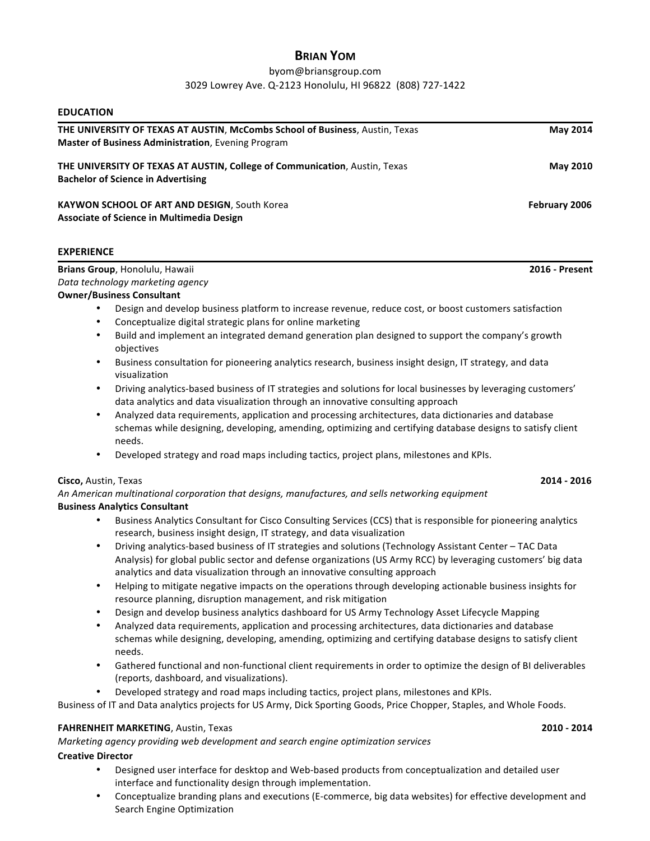# **BRIAN YOM**

## byom@briansgroup.com 3029 Lowrey Ave. Q-2123 Honolulu, HI 96822 (808) 727-1422

| THE UNIVERSITY OF TEXAS AT AUSTIN, McCombs School of Business, Austin, Texas                                                                                                                                                  | <b>May 2014</b> |
|-------------------------------------------------------------------------------------------------------------------------------------------------------------------------------------------------------------------------------|-----------------|
| Master of Business Administration, Evening Program                                                                                                                                                                            |                 |
| THE UNIVERSITY OF TEXAS AT AUSTIN, College of Communication, Austin, Texas<br><b>Bachelor of Science in Advertising</b>                                                                                                       | <b>May 2010</b> |
| KAYWON SCHOOL OF ART AND DESIGN, South Korea                                                                                                                                                                                  | February 2006   |
| Associate of Science in Multimedia Design                                                                                                                                                                                     |                 |
| <b>EXPERIENCE</b>                                                                                                                                                                                                             |                 |
| Brians Group, Honolulu, Hawaii                                                                                                                                                                                                | 2016 - Present  |
| Data technology marketing agency                                                                                                                                                                                              |                 |
| <b>Owner/Business Consultant</b>                                                                                                                                                                                              |                 |
| Design and develop business platform to increase revenue, reduce cost, or boost customers satisfaction<br>$\bullet$                                                                                                           |                 |
| Conceptualize digital strategic plans for online marketing                                                                                                                                                                    |                 |
| Build and implement an integrated demand generation plan designed to support the company's growth<br>$\bullet$<br>objectives                                                                                                  |                 |
| Business consultation for pioneering analytics research, business insight design, IT strategy, and data<br>visualization                                                                                                      |                 |
| Driving analytics-based business of IT strategies and solutions for local businesses by leveraging customers'<br>data analytics and data visualization through an innovative consulting approach                              |                 |
| Analyzed data requirements, application and processing architectures, data dictionaries and database<br>schemas while designing, developing, amending, optimizing and certifying database designs to satisfy client<br>needs. |                 |
| Developed strategy and road maps including tactics, project plans, milestones and KPIs.                                                                                                                                       |                 |
| Cisco, Austin, Texas                                                                                                                                                                                                          | 2014 - 2016     |
| An American multinational corporation that designs, manufactures, and sells networking equipment                                                                                                                              |                 |
| <b>Business Analytics Consultant</b>                                                                                                                                                                                          |                 |
| Business Analytics Consultant for Cisco Consulting Services (CCS) that is responsible for pioneering analytics<br>$\bullet$<br>research, business insight design, IT strategy, and data visualization                         |                 |
| Driving analytics-based business of IT strategies and solutions (Technology Assistant Center - TAC Data<br>$\bullet$                                                                                                          |                 |
| Analysis) for global public sector and defense organizations (US Army RCC) by leveraging customers' big data<br>analytics and data visualization through an innovative consulting approach                                    |                 |
| Helping to mitigate negative impacts on the operations through developing actionable business insights for<br>resource planning, disruption management, and risk mitigation                                                   |                 |
| Design and develop business analytics dashboard for US Army Technology Asset Lifecycle Mapping                                                                                                                                |                 |
| Analyzed data requirements, application and processing architectures, data dictionaries and database<br>schemas while designing, developing, amending, optimizing and certifying database designs to satisfy client<br>needs. |                 |
| Gathered functional and non-functional client requirements in order to optimize the design of BI deliverables<br>$\bullet$<br>(reports, dashboard, and visualizations).                                                       |                 |

• Developed strategy and road maps including tactics, project plans, milestones and KPIs.

Business of IT and Data analytics projects for US Army, Dick Sporting Goods, Price Chopper, Staples, and Whole Foods.

## **FAHRENHEIT MARKETING**, Austin, Texas **2010** - 2014 **2010** - 2014

*Marketing agency providing web development and search engine optimization services* 

## **Creative Director**

**EDUCATION**

- Designed user interface for desktop and Web-based products from conceptualization and detailed user interface and functionality design through implementation.
- Conceptualize branding plans and executions (E-commerce, big data websites) for effective development and Search Engine Optimization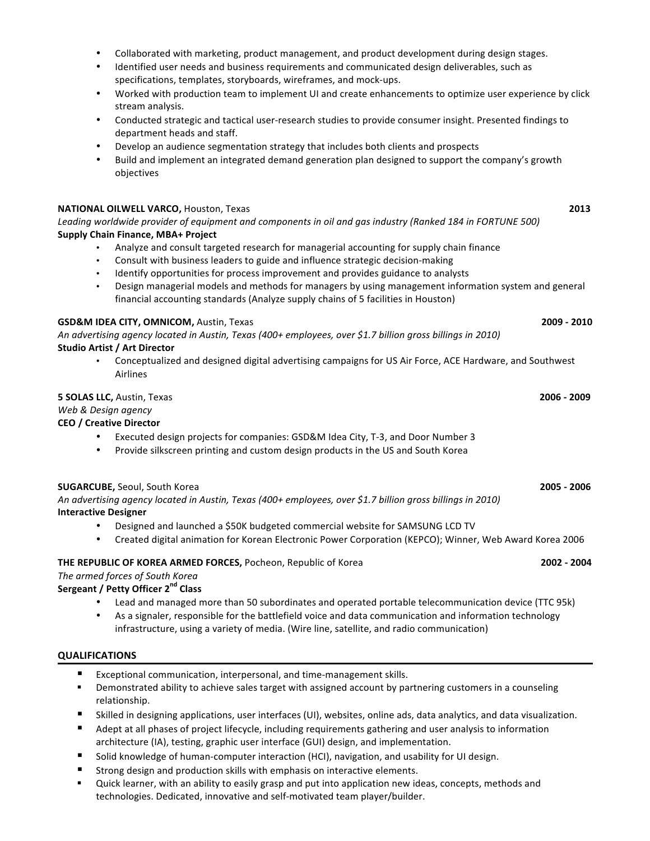- Collaborated with marketing, product management, and product development during design stages.
- Identified user needs and business requirements and communicated design deliverables, such as specifications, templates, storyboards, wireframes, and mock-ups.
- Worked with production team to implement UI and create enhancements to optimize user experience by click stream analysis.
- Conducted strategic and tactical user-research studies to provide consumer insight. Presented findings to department heads and staff.
- Develop an audience segmentation strategy that includes both clients and prospects
- Build and implement an integrated demand generation plan designed to support the company's growth objectives

## **NATIONAL OILWELL VARCO,** Houston, Texas **2013**

Leading worldwide provider of equipment and components in oil and gas industry (Ranked 184 in FORTUNE 500) **Supply Chain Finance, MBA+ Project**

- Analyze and consult targeted research for managerial accounting for supply chain finance
- Consult with business leaders to guide and influence strategic decision-making
- Identify opportunities for process improvement and provides guidance to analysts
- Design managerial models and methods for managers by using management information system and general financial accounting standards (Analyze supply chains of 5 facilities in Houston)

## **GSD&M IDEA CITY, OMNICOM,** Austin, Texas **2009 - 2010**

An advertising agency located in Austin, Texas (400+ employees, over \$1.7 billion gross billings in 2010) **Studio Artist / Art Director** 

• Conceptualized and designed digital advertising campaigns for US Air Force, ACE Hardware, and Southwest Airlines

## **5 SOLAS LLC,** Austin, Texas **2006 - 2009**

*Web & Design agency*

**CEO / Creative Director**

- Executed design projects for companies: GSD&M Idea City, T-3, and Door Number 3
- Provide silkscreen printing and custom design products in the US and South Korea

#### **SUGARCUBE,** Seoul, South Korea **2005 - 2006**

An advertising agency located in Austin, Texas (400+ employees, over \$1.7 billion gross billings in 2010) **Interactive Designer**

- Designed and launched a \$50K budgeted commercial website for SAMSUNG LCD TV
- Created digital animation for Korean Electronic Power Corporation (KEPCO); Winner, Web Award Korea 2006

## **THE REPUBLIC OF KOREA ARMED FORCES,** Pocheon, Republic of Korea  **2002 - 2004**

# *The armed forces of South Korea*

# **Sergeant / Petty Officer 2nd Class**

- Lead and managed more than 50 subordinates and operated portable telecommunication device (TTC 95k)
- As a signaler, responsible for the battlefield voice and data communication and information technology infrastructure, using a variety of media. (Wire line, satellite, and radio communication)

## **QUALIFICATIONS**

- Exceptional communication, interpersonal, and time-management skills.
- Demonstrated ability to achieve sales target with assigned account by partnering customers in a counseling relationship.
- Skilled in designing applications, user interfaces (UI), websites, online ads, data analytics, and data visualization.
- Adept at all phases of project lifecycle, including requirements gathering and user analysis to information architecture (IA), testing, graphic user interface (GUI) design, and implementation.
- Solid knowledge of human-computer interaction (HCI), navigation, and usability for UI design.
- Strong design and production skills with emphasis on interactive elements.
- Quick learner, with an ability to easily grasp and put into application new ideas, concepts, methods and technologies. Dedicated, innovative and self-motivated team player/builder.